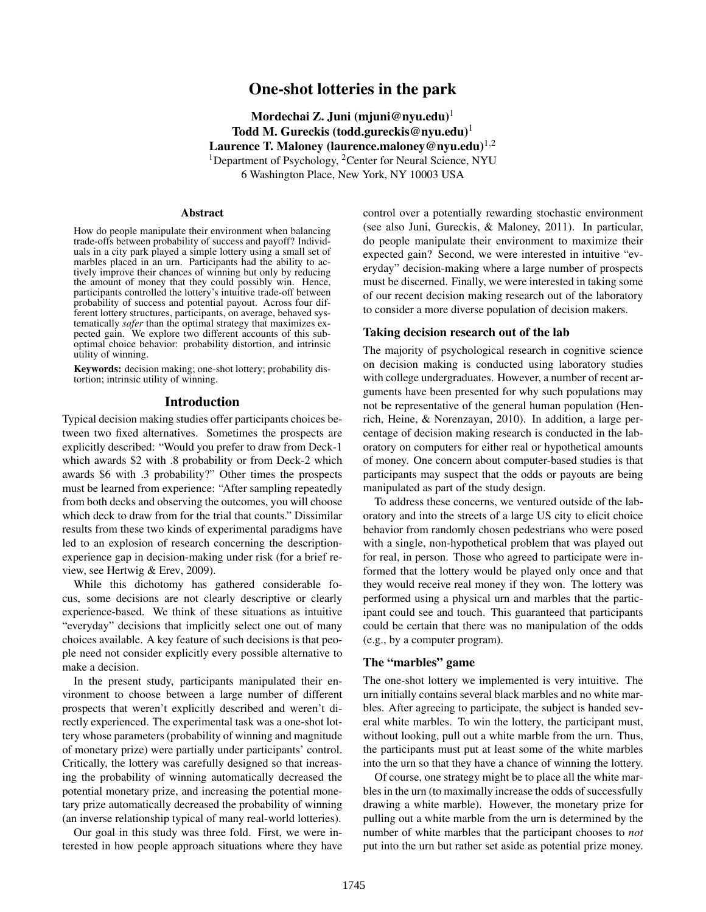# One-shot lotteries in the park

Mordechai Z. Juni (mjuni@nyu.edu)<sup>1</sup> Todd M. Gureckis (todd.gureckis@nyu.edu)<sup>1</sup> Laurence T. Maloney (laurence.maloney@nyu.edu)<sup>1,2</sup> <sup>1</sup>Department of Psychology, <sup>2</sup>Center for Neural Science, NYU 6 Washington Place, New York, NY 10003 USA

#### Abstract

How do people manipulate their environment when balancing trade-offs between probability of success and payoff? Individuals in a city park played a simple lottery using a small set of marbles placed in an urn. Participants had the ability to actively improve their chances of winning but only by reducing the amount of money that they could possibly win. Hence, participants controlled the lottery's intuitive trade-off between probability of success and potential payout. Across four different lottery structures, participants, on average, behaved systematically *safer* than the optimal strategy that maximizes expected gain. We explore two different accounts of this suboptimal choice behavior: probability distortion, and intrinsic utility of winning.

Keywords: decision making; one-shot lottery; probability distortion; intrinsic utility of winning.

### Introduction

Typical decision making studies offer participants choices between two fixed alternatives. Sometimes the prospects are explicitly described: "Would you prefer to draw from Deck-1 which awards \$2 with .8 probability or from Deck-2 which awards \$6 with .3 probability?" Other times the prospects must be learned from experience: "After sampling repeatedly from both decks and observing the outcomes, you will choose which deck to draw from for the trial that counts." Dissimilar results from these two kinds of experimental paradigms have led to an explosion of research concerning the descriptionexperience gap in decision-making under risk (for a brief review, see Hertwig & Erev, 2009).

While this dichotomy has gathered considerable focus, some decisions are not clearly descriptive or clearly experience-based. We think of these situations as intuitive "everyday" decisions that implicitly select one out of many choices available. A key feature of such decisions is that people need not consider explicitly every possible alternative to make a decision.

In the present study, participants manipulated their environment to choose between a large number of different prospects that weren't explicitly described and weren't directly experienced. The experimental task was a one-shot lottery whose parameters (probability of winning and magnitude of monetary prize) were partially under participants' control. Critically, the lottery was carefully designed so that increasing the probability of winning automatically decreased the potential monetary prize, and increasing the potential monetary prize automatically decreased the probability of winning (an inverse relationship typical of many real-world lotteries).

Our goal in this study was three fold. First, we were interested in how people approach situations where they have control over a potentially rewarding stochastic environment (see also Juni, Gureckis, & Maloney, 2011). In particular, do people manipulate their environment to maximize their expected gain? Second, we were interested in intuitive "everyday" decision-making where a large number of prospects must be discerned. Finally, we were interested in taking some of our recent decision making research out of the laboratory to consider a more diverse population of decision makers.

### Taking decision research out of the lab

The majority of psychological research in cognitive science on decision making is conducted using laboratory studies with college undergraduates. However, a number of recent arguments have been presented for why such populations may not be representative of the general human population (Henrich, Heine, & Norenzayan, 2010). In addition, a large percentage of decision making research is conducted in the laboratory on computers for either real or hypothetical amounts of money. One concern about computer-based studies is that participants may suspect that the odds or payouts are being manipulated as part of the study design.

To address these concerns, we ventured outside of the laboratory and into the streets of a large US city to elicit choice behavior from randomly chosen pedestrians who were posed with a single, non-hypothetical problem that was played out for real, in person. Those who agreed to participate were informed that the lottery would be played only once and that they would receive real money if they won. The lottery was performed using a physical urn and marbles that the participant could see and touch. This guaranteed that participants could be certain that there was no manipulation of the odds (e.g., by a computer program).

### The "marbles" game

The one-shot lottery we implemented is very intuitive. The urn initially contains several black marbles and no white marbles. After agreeing to participate, the subject is handed several white marbles. To win the lottery, the participant must, without looking, pull out a white marble from the urn. Thus, the participants must put at least some of the white marbles into the urn so that they have a chance of winning the lottery.

Of course, one strategy might be to place all the white marbles in the urn (to maximally increase the odds of successfully drawing a white marble). However, the monetary prize for pulling out a white marble from the urn is determined by the number of white marbles that the participant chooses to *not* put into the urn but rather set aside as potential prize money.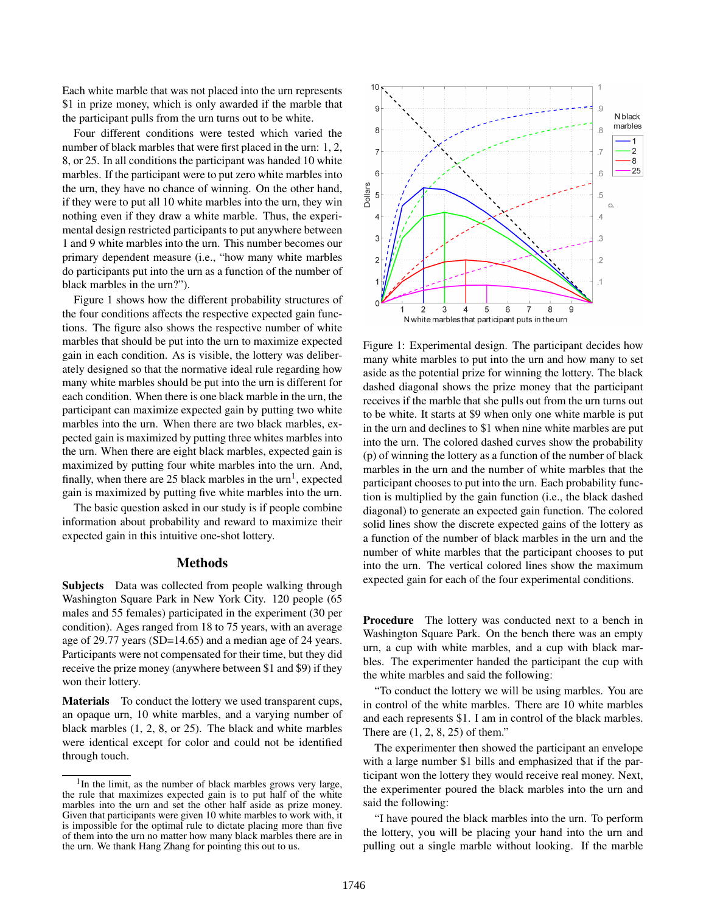Each white marble that was not placed into the urn represents \$1 in prize money, which is only awarded if the marble that the participant pulls from the urn turns out to be white.

Four different conditions were tested which varied the number of black marbles that were first placed in the urn: 1, 2, 8, or 25. In all conditions the participant was handed 10 white marbles. If the participant were to put zero white marbles into the urn, they have no chance of winning. On the other hand, if they were to put all 10 white marbles into the urn, they win nothing even if they draw a white marble. Thus, the experimental design restricted participants to put anywhere between 1 and 9 white marbles into the urn. This number becomes our primary dependent measure (i.e., "how many white marbles do participants put into the urn as a function of the number of black marbles in the urn?").

Figure 1 shows how the different probability structures of the four conditions affects the respective expected gain functions. The figure also shows the respective number of white marbles that should be put into the urn to maximize expected gain in each condition. As is visible, the lottery was deliberately designed so that the normative ideal rule regarding how many white marbles should be put into the urn is different for each condition. When there is one black marble in the urn, the participant can maximize expected gain by putting two white marbles into the urn. When there are two black marbles, expected gain is maximized by putting three whites marbles into the urn. When there are eight black marbles, expected gain is maximized by putting four white marbles into the urn. And, finally, when there are 25 black marbles in the  $urn<sup>1</sup>$ , expected gain is maximized by putting five white marbles into the urn.

The basic question asked in our study is if people combine information about probability and reward to maximize their expected gain in this intuitive one-shot lottery.

### **Methods**

Subjects Data was collected from people walking through Washington Square Park in New York City. 120 people (65 males and 55 females) participated in the experiment (30 per condition). Ages ranged from 18 to 75 years, with an average age of 29.77 years (SD=14.65) and a median age of 24 years. Participants were not compensated for their time, but they did receive the prize money (anywhere between \$1 and \$9) if they won their lottery.

Materials To conduct the lottery we used transparent cups, an opaque urn, 10 white marbles, and a varying number of black marbles (1, 2, 8, or 25). The black and white marbles were identical except for color and could not be identified through touch.



Figure 1: Experimental design. The participant decides how many white marbles to put into the urn and how many to set aside as the potential prize for winning the lottery. The black dashed diagonal shows the prize money that the participant receives if the marble that she pulls out from the urn turns out to be white. It starts at \$9 when only one white marble is put in the urn and declines to \$1 when nine white marbles are put into the urn. The colored dashed curves show the probability (p) of winning the lottery as a function of the number of black marbles in the urn and the number of white marbles that the participant chooses to put into the urn. Each probability function is multiplied by the gain function (i.e., the black dashed diagonal) to generate an expected gain function. The colored solid lines show the discrete expected gains of the lottery as a function of the number of black marbles in the urn and the number of white marbles that the participant chooses to put into the urn. The vertical colored lines show the maximum expected gain for each of the four experimental conditions.

Procedure The lottery was conducted next to a bench in Washington Square Park. On the bench there was an empty urn, a cup with white marbles, and a cup with black marbles. The experimenter handed the participant the cup with the white marbles and said the following:

"To conduct the lottery we will be using marbles. You are in control of the white marbles. There are 10 white marbles and each represents \$1. I am in control of the black marbles. There are (1, 2, 8, 25) of them."

The experimenter then showed the participant an envelope with a large number \$1 bills and emphasized that if the participant won the lottery they would receive real money. Next, the experimenter poured the black marbles into the urn and said the following:

"I have poured the black marbles into the urn. To perform the lottery, you will be placing your hand into the urn and pulling out a single marble without looking. If the marble

<sup>&</sup>lt;sup>1</sup>In the limit, as the number of black marbles grows very large, the rule that maximizes expected gain is to put half of the white marbles into the urn and set the other half aside as prize money. Given that participants were given 10 white marbles to work with, it is impossible for the optimal rule to dictate placing more than five of them into the urn no matter how many black marbles there are in the urn. We thank Hang Zhang for pointing this out to us.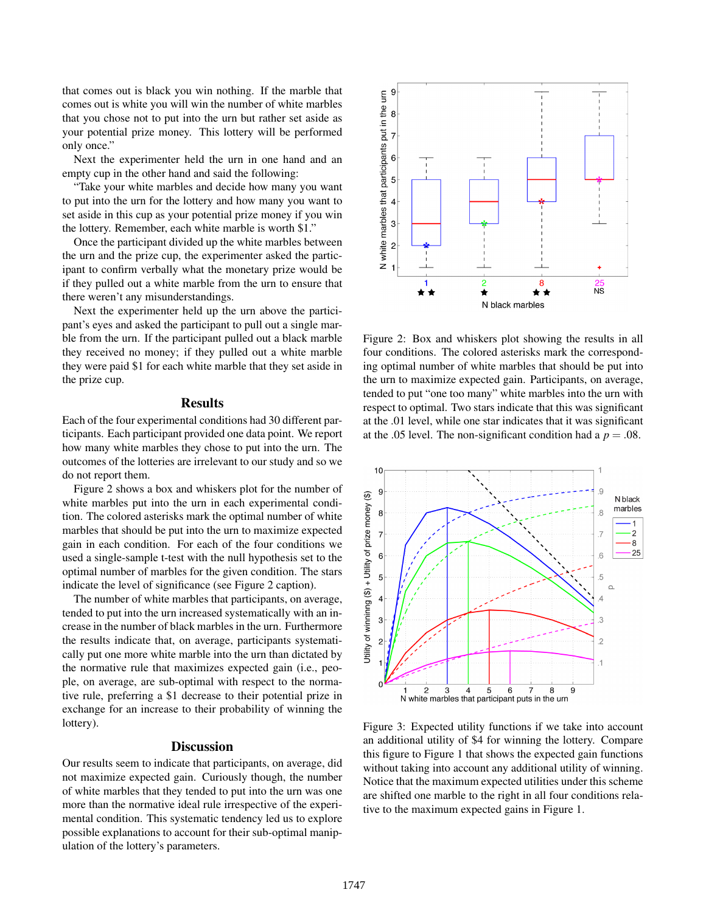that comes out is black you win nothing. If the marble that comes out is white you will win the number of white marbles that you chose not to put into the urn but rather set aside as your potential prize money. This lottery will be performed only once."

Next the experimenter held the urn in one hand and an empty cup in the other hand and said the following:

"Take your white marbles and decide how many you want to put into the urn for the lottery and how many you want to set aside in this cup as your potential prize money if you win the lottery. Remember, each white marble is worth \$1."

Once the participant divided up the white marbles between the urn and the prize cup, the experimenter asked the participant to confirm verbally what the monetary prize would be if they pulled out a white marble from the urn to ensure that there weren't any misunderstandings.

Next the experimenter held up the urn above the participant's eyes and asked the participant to pull out a single marble from the urn. If the participant pulled out a black marble they received no money; if they pulled out a white marble they were paid \$1 for each white marble that they set aside in the prize cup.

#### Results

Each of the four experimental conditions had 30 different participants. Each participant provided one data point. We report how many white marbles they chose to put into the urn. The outcomes of the lotteries are irrelevant to our study and so we do not report them.

Figure 2 shows a box and whiskers plot for the number of white marbles put into the urn in each experimental condition. The colored asterisks mark the optimal number of white marbles that should be put into the urn to maximize expected gain in each condition. For each of the four conditions we used a single-sample t-test with the null hypothesis set to the optimal number of marbles for the given condition. The stars indicate the level of significance (see Figure 2 caption).

The number of white marbles that participants, on average, tended to put into the urn increased systematically with an increase in the number of black marbles in the urn. Furthermore the results indicate that, on average, participants systematically put one more white marble into the urn than dictated by the normative rule that maximizes expected gain (i.e., people, on average, are sub-optimal with respect to the normative rule, preferring a \$1 decrease to their potential prize in exchange for an increase to their probability of winning the lottery).

#### **Discussion**

Our results seem to indicate that participants, on average, did not maximize expected gain. Curiously though, the number of white marbles that they tended to put into the urn was one more than the normative ideal rule irrespective of the experimental condition. This systematic tendency led us to explore possible explanations to account for their sub-optimal manipulation of the lottery's parameters.



Figure 2: Box and whiskers plot showing the results in all four conditions. The colored asterisks mark the corresponding optimal number of white marbles that should be put into the urn to maximize expected gain. Participants, on average, tended to put "one too many" white marbles into the urn with respect to optimal. Two stars indicate that this was significant at the .01 level, while one star indicates that it was significant at the .05 level. The non-significant condition had a  $p = .08$ .



Figure 3: Expected utility functions if we take into account an additional utility of \$4 for winning the lottery. Compare this figure to Figure 1 that shows the expected gain functions without taking into account any additional utility of winning. Notice that the maximum expected utilities under this scheme are shifted one marble to the right in all four conditions relative to the maximum expected gains in Figure 1.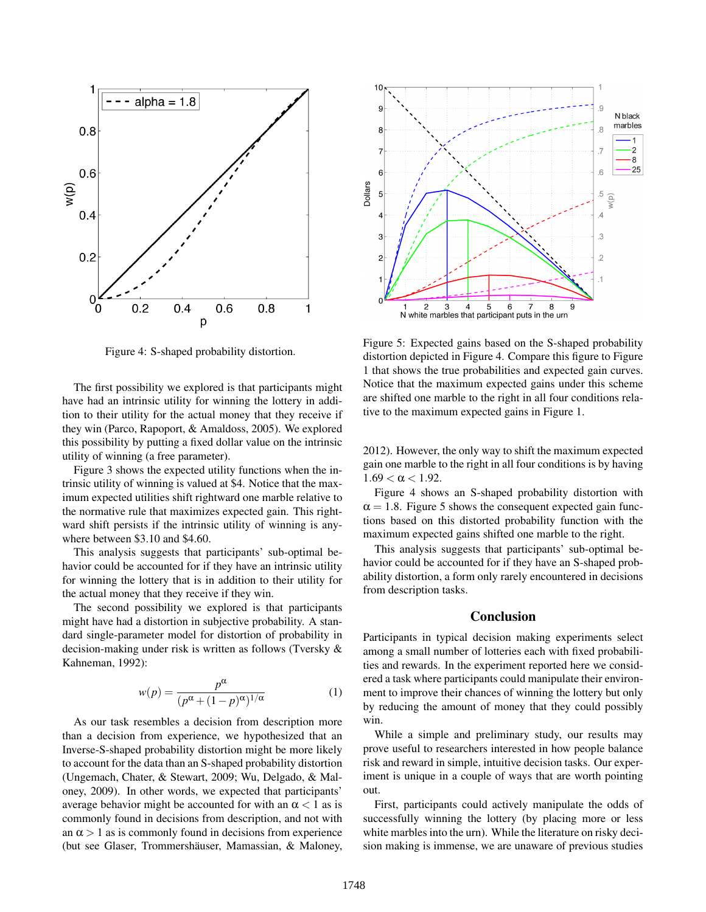

Figure 4: S-shaped probability distortion.

The first possibility we explored is that participants might have had an intrinsic utility for winning the lottery in addition to their utility for the actual money that they receive if they win (Parco, Rapoport, & Amaldoss, 2005). We explored this possibility by putting a fixed dollar value on the intrinsic utility of winning (a free parameter).

Figure 3 shows the expected utility functions when the intrinsic utility of winning is valued at \$4. Notice that the maximum expected utilities shift rightward one marble relative to the normative rule that maximizes expected gain. This rightward shift persists if the intrinsic utility of winning is anywhere between \$3.10 and \$4.60.

This analysis suggests that participants' sub-optimal behavior could be accounted for if they have an intrinsic utility for winning the lottery that is in addition to their utility for the actual money that they receive if they win.

The second possibility we explored is that participants might have had a distortion in subjective probability. A standard single-parameter model for distortion of probability in decision-making under risk is written as follows (Tversky & Kahneman, 1992):

$$
w(p) = \frac{p^{\alpha}}{(p^{\alpha} + (1-p)^{\alpha})^{1/\alpha}}
$$
 (1)

As our task resembles a decision from description more than a decision from experience, we hypothesized that an Inverse-S-shaped probability distortion might be more likely to account for the data than an S-shaped probability distortion (Ungemach, Chater, & Stewart, 2009; Wu, Delgado, & Maloney, 2009). In other words, we expected that participants' average behavior might be accounted for with an  $\alpha$  < 1 as is commonly found in decisions from description, and not with an  $\alpha > 1$  as is commonly found in decisions from experience (but see Glaser, Trommershäuser, Mamassian, & Maloney,



Figure 5: Expected gains based on the S-shaped probability distortion depicted in Figure 4. Compare this figure to Figure 1 that shows the true probabilities and expected gain curves. Notice that the maximum expected gains under this scheme are shifted one marble to the right in all four conditions relative to the maximum expected gains in Figure 1.

2012). However, the only way to shift the maximum expected gain one marble to the right in all four conditions is by having  $1.69 < \alpha < 1.92$ .

Figure 4 shows an S-shaped probability distortion with  $\alpha = 1.8$ . Figure 5 shows the consequent expected gain functions based on this distorted probability function with the maximum expected gains shifted one marble to the right.

This analysis suggests that participants' sub-optimal behavior could be accounted for if they have an S-shaped probability distortion, a form only rarely encountered in decisions from description tasks.

### Conclusion

Participants in typical decision making experiments select among a small number of lotteries each with fixed probabilities and rewards. In the experiment reported here we considered a task where participants could manipulate their environment to improve their chances of winning the lottery but only by reducing the amount of money that they could possibly win.

While a simple and preliminary study, our results may prove useful to researchers interested in how people balance risk and reward in simple, intuitive decision tasks. Our experiment is unique in a couple of ways that are worth pointing out.

First, participants could actively manipulate the odds of successfully winning the lottery (by placing more or less white marbles into the urn). While the literature on risky decision making is immense, we are unaware of previous studies